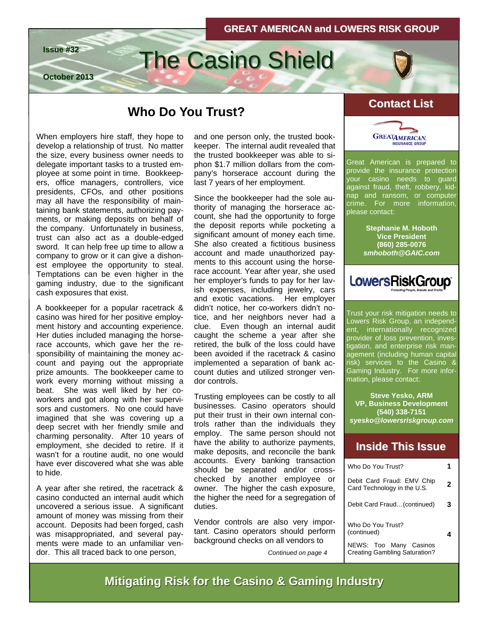# **Issue #32** The Casino Shield

**October 2013**

## **Contact List Contact Who Do You Trust?**

When employers hire staff, they hope to develop a relationship of trust. No matter the size, every business owner needs to delegate important tasks to a trusted employee at some point in time. Bookkeepers, office managers, controllers, vice presidents, CFOs, and other positions may all have the responsibility of maintaining bank statements, authorizing payments, or making deposits on behalf of the company. Unfortunately in business, trust can also act as a double-edged sword. It can help free up time to allow a company to grow or it can give a dishonest employee the opportunity to steal. Temptations can be even higher in the gaming industry, due to the significant cash exposures that exist.

A bookkeeper for a popular racetrack & casino was hired for her positive employment history and accounting experience. Her duties included managing the horserace accounts, which gave her the responsibility of maintaining the money account and paying out the appropriate prize amounts. The bookkeeper came to work every morning without missing a beat. She was well liked by her coworkers and got along with her supervisors and customers. No one could have imagined that she was covering up a deep secret with her friendly smile and charming personality. After 10 years of employment, she decided to retire. If it wasn't for a routine audit, no one would have ever discovered what she was able to hide.

A year after she retired, the racetrack & casino conducted an internal audit which uncovered a serious issue. A significant amount of money was missing from their account. Deposits had been forged, cash was misappropriated, and several payments were made to an unfamiliar vendor. This all traced back to one person,

and one person only, the trusted bookkeeper. The internal audit revealed that the trusted bookkeeper was able to siphon \$1.7 million dollars from the company's horserace account during the last 7 years of her employment.

Since the bookkeeper had the sole authority of managing the horserace account, she had the opportunity to forge the deposit reports while pocketing a significant amount of money each time. She also created a fictitious business account and made unauthorized payments to this account using the horserace account. Year after year, she used her employer's funds to pay for her lavish expenses, including jewelry, cars and exotic vacations. Her employer didn't notice, her co-workers didn't notice, and her neighbors never had a clue. Even though an internal audit caught the scheme a year after she retired, the bulk of the loss could have been avoided if the racetrack & casino implemented a separation of bank account duties and utilized stronger vendor controls.

Trusting employees can be costly to all businesses. Casino operators should put their trust in their own internal controls rather than the individuals they employ. The same person should not have the ability to authorize payments, make deposits, and reconcile the bank accounts. Every banking transaction should be separated and/or crosschecked by another employee or owner. The higher the cash exposure, the higher the need for a segregation of duties.

Vendor controls are also very important. Casino operators should perform background checks on all vendors to

*Continued on page 4* 



Great American is prepared to provide the insurance protection your casino needs to guard against fraud, theft, robbery, kidnap and ransom, or computer crime. For more information, please contact:

> **Stephanie M. Hoboth Vice President (860) 285-0076**  *smhoboth@GAIC.com*



Trust your risk mitigation needs to Lowers Risk Group, an independent, internationally recognized provider of loss prevention, investigation, and enterprise risk management (including human capital risk) services to the Casino & Gaming Industry. For more information, please contact:

**Steve Yesko, ARM VP, Business Development (540) 338-7151**  *syesko@lowersriskgroup.com* 

#### **Inside This Issue Inside This Issue**

| Who Do You Trust?                                              |   |
|----------------------------------------------------------------|---|
| Debit Card Fraud: EMV Chip<br>Card Technology in the U.S.      | 2 |
| Debit Card Fraud(continued)                                    | 3 |
| Who Do You Trust?<br>(continued)                               |   |
| NEWS: Too Many Casinos<br><b>Creating Gambling Saturation?</b> |   |

**Mitigating Risk for the Casino & Gaming Industry**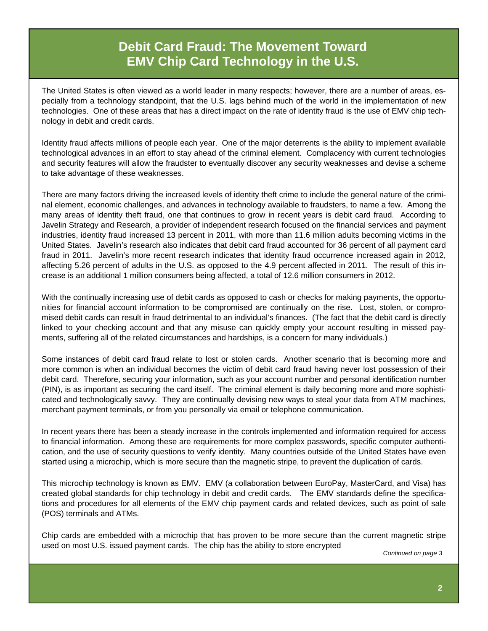### **Debit Card Fraud: The Movement Toward EMV Chip Card Technology in the U.S.**

The United States is often viewed as a world leader in many respects; however, there are a number of areas, especially from a technology standpoint, that the U.S. lags behind much of the world in the implementation of new technologies. One of these areas that has a direct impact on the rate of identity fraud is the use of EMV chip technology in debit and credit cards.

Identity fraud affects millions of people each year. One of the major deterrents is the ability to implement available technological advances in an effort to stay ahead of the criminal element. Complacency with current technologies and security features will allow the fraudster to eventually discover any security weaknesses and devise a scheme to take advantage of these weaknesses.

There are many factors driving the increased levels of identity theft crime to include the general nature of the criminal element, economic challenges, and advances in technology available to fraudsters, to name a few. Among the many areas of identity theft fraud, one that continues to grow in recent years is debit card fraud. According to Javelin Strategy and Research, a provider of independent research focused on the financial services and payment industries, identity fraud increased 13 percent in 2011, with more than 11.6 million adults becoming victims in the United States. Javelin's research also indicates that debit card fraud accounted for 36 percent of all payment card fraud in 2011. Javelin's more recent research indicates that identity fraud occurrence increased again in 2012, affecting 5.26 percent of adults in the U.S. as opposed to the 4.9 percent affected in 2011. The result of this increase is an additional 1 million consumers being affected, a total of 12.6 million consumers in 2012.

With the continually increasing use of debit cards as opposed to cash or checks for making payments, the opportunities for financial account information to be compromised are continually on the rise. Lost, stolen, or compromised debit cards can result in fraud detrimental to an individual's finances. (The fact that the debit card is directly linked to your checking account and that any misuse can quickly empty your account resulting in missed payments, suffering all of the related circumstances and hardships, is a concern for many individuals.)

Some instances of debit card fraud relate to lost or stolen cards. Another scenario that is becoming more and more common is when an individual becomes the victim of debit card fraud having never lost possession of their debit card. Therefore, securing your information, such as your account number and personal identification number (PIN), is as important as securing the card itself. The criminal element is daily becoming more and more sophisticated and technologically savvy. They are continually devising new ways to steal your data from ATM machines, merchant payment terminals, or from you personally via email or telephone communication.

In recent years there has been a steady increase in the controls implemented and information required for access to financial information. Among these are requirements for more complex passwords, specific computer authentication, and the use of security questions to verify identity. Many countries outside of the United States have even started using a microchip, which is more secure than the magnetic stripe, to prevent the duplication of cards.

This microchip technology is known as EMV. EMV (a collaboration between EuroPay, MasterCard, and Visa) has created global standards for chip technology in debit and credit cards. The EMV standards define the specifications and procedures for all elements of the EMV chip payment cards and related devices, such as point of sale (POS) terminals and ATMs.

Chip cards are embedded with a microchip that has proven to be more secure than the current magnetic stripe used on most U.S. issued payment cards. The chip has the ability to store encrypted

*Continued on page 3*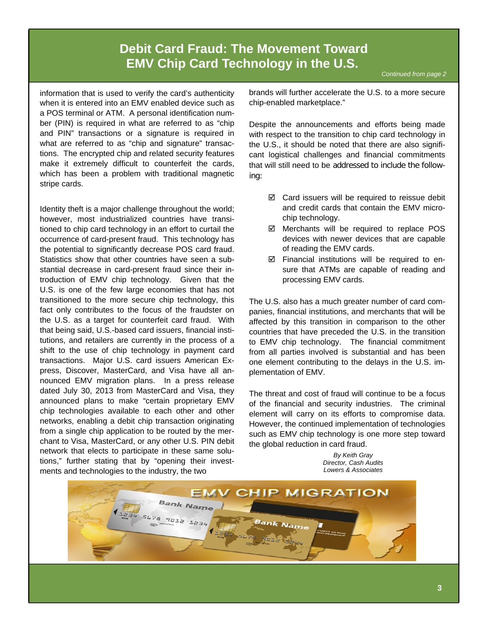### **Debit Card Fraud: The Movement Toward EMV Chip Card Technology in the U.S.**

*Continued from page 2* 

information that is used to verify the card's authenticity when it is entered into an EMV enabled device such as a POS terminal or ATM. A personal identification number (PIN) is required in what are referred to as "chip and PIN" transactions or a signature is required in what are referred to as "chip and signature" transactions. The encrypted chip and related security features make it extremely difficult to counterfeit the cards, which has been a problem with traditional magnetic stripe cards.

Identity theft is a major challenge throughout the world; however, most industrialized countries have transitioned to chip card technology in an effort to curtail the occurrence of card-present fraud. This technology has the potential to significantly decrease POS card fraud. Statistics show that other countries have seen a substantial decrease in card-present fraud since their introduction of EMV chip technology. Given that the U.S. is one of the few large economies that has not transitioned to the more secure chip technology, this fact only contributes to the focus of the fraudster on the U.S. as a target for counterfeit card fraud. With that being said, U.S.-based card issuers, financial institutions, and retailers are currently in the process of a shift to the use of chip technology in payment card transactions. Major U.S. card issuers American Express, Discover, MasterCard, and Visa have all announced EMV migration plans. In a press release dated July 30, 2013 from MasterCard and Visa, they announced plans to make "certain proprietary EMV chip technologies available to each other and other networks, enabling a debit chip transaction originating from a single chip application to be routed by the merchant to Visa, MasterCard, or any other U.S. PIN debit network that elects to participate in these same solutions," further stating that by "opening their investments and technologies to the industry, the two

brands will further accelerate the U.S. to a more secure chip-enabled marketplace."

Despite the announcements and efforts being made with respect to the transition to chip card technology in the U.S., it should be noted that there are also significant logistical challenges and financial commitments that will still need to be addressed to include the following:

- $\boxtimes$  Card issuers will be required to reissue debit and credit cards that contain the EMV microchip technology.
- $\boxtimes$  Merchants will be required to replace POS devices with newer devices that are capable of reading the EMV cards.
- $\boxtimes$  Financial institutions will be required to ensure that ATMs are capable of reading and processing EMV cards.

The U.S. also has a much greater number of card companies, financial institutions, and merchants that will be affected by this transition in comparison to the other countries that have preceded the U.S. in the transition to EMV chip technology. The financial commitment from all parties involved is substantial and has been one element contributing to the delays in the U.S. implementation of EMV.

The threat and cost of fraud will continue to be a focus of the financial and security industries. The criminal element will carry on its efforts to compromise data. However, the continued implementation of technologies such as EMV chip technology is one more step toward the global reduction in card fraud.

> *By Keith Gray Director, Cash Audits Lowers & Associates*